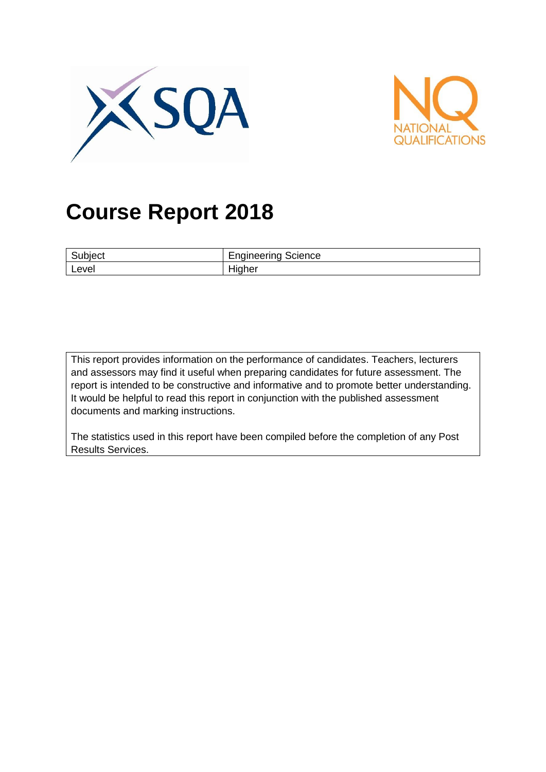



# **Course Report 2018**

| ⌒<br>че.<br>vv, | $\overline{\phantom{0}}$<br>⌒<br>∩oineerina<br>cience<br>'IC<br>י<br>ີ |
|-----------------|------------------------------------------------------------------------|
| Level           | . .<br>ner<br>וור                                                      |

This report provides information on the performance of candidates. Teachers, lecturers and assessors may find it useful when preparing candidates for future assessment. The report is intended to be constructive and informative and to promote better understanding. It would be helpful to read this report in conjunction with the published assessment documents and marking instructions.

The statistics used in this report have been compiled before the completion of any Post Results Services.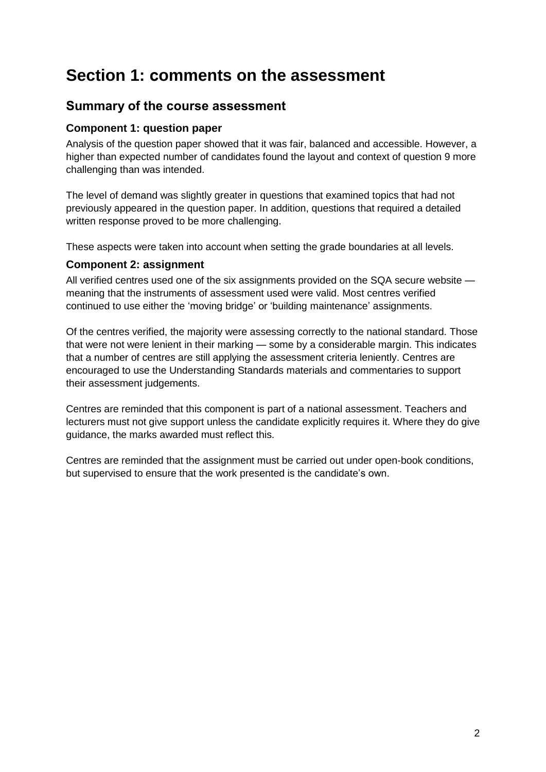## **Section 1: comments on the assessment**

## **Summary of the course assessment**

#### **Component 1: question paper**

Analysis of the question paper showed that it was fair, balanced and accessible. However, a higher than expected number of candidates found the layout and context of question 9 more challenging than was intended.

The level of demand was slightly greater in questions that examined topics that had not previously appeared in the question paper. In addition, questions that required a detailed written response proved to be more challenging.

These aspects were taken into account when setting the grade boundaries at all levels.

#### **Component 2: assignment**

All verified centres used one of the six assignments provided on the SQA secure website meaning that the instruments of assessment used were valid. Most centres verified continued to use either the 'moving bridge' or 'building maintenance' assignments.

Of the centres verified, the majority were assessing correctly to the national standard. Those that were not were lenient in their marking — some by a considerable margin. This indicates that a number of centres are still applying the assessment criteria leniently. Centres are encouraged to use the Understanding Standards materials and commentaries to support their assessment judgements.

Centres are reminded that this component is part of a national assessment. Teachers and lecturers must not give support unless the candidate explicitly requires it. Where they do give guidance, the marks awarded must reflect this.

Centres are reminded that the assignment must be carried out under open-book conditions, but supervised to ensure that the work presented is the candidate's own.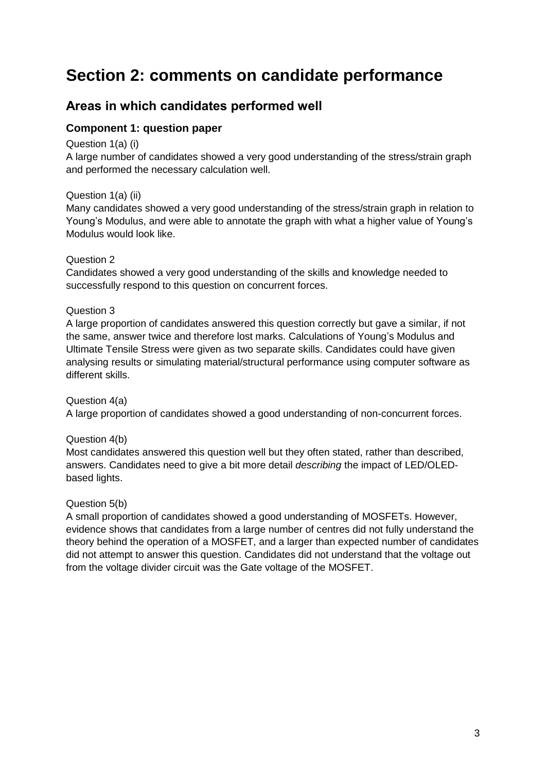## **Section 2: comments on candidate performance**

## **Areas in which candidates performed well**

#### **Component 1: question paper**

#### Question 1(a) (i)

A large number of candidates showed a very good understanding of the stress/strain graph and performed the necessary calculation well.

#### Question 1(a) (ii)

Many candidates showed a very good understanding of the stress/strain graph in relation to Young's Modulus, and were able to annotate the graph with what a higher value of Young's Modulus would look like.

#### Question 2

Candidates showed a very good understanding of the skills and knowledge needed to successfully respond to this question on concurrent forces.

#### Question 3

A large proportion of candidates answered this question correctly but gave a similar, if not the same, answer twice and therefore lost marks. Calculations of Young's Modulus and Ultimate Tensile Stress were given as two separate skills. Candidates could have given analysing results or simulating material/structural performance using computer software as different skills.

#### Question 4(a)

A large proportion of candidates showed a good understanding of non-concurrent forces.

#### Question 4(b)

Most candidates answered this question well but they often stated, rather than described, answers. Candidates need to give a bit more detail *describing* the impact of LED/OLEDbased lights.

#### Question 5(b)

A small proportion of candidates showed a good understanding of MOSFETs. However, evidence shows that candidates from a large number of centres did not fully understand the theory behind the operation of a MOSFET, and a larger than expected number of candidates did not attempt to answer this question. Candidates did not understand that the voltage out from the voltage divider circuit was the Gate voltage of the MOSFET.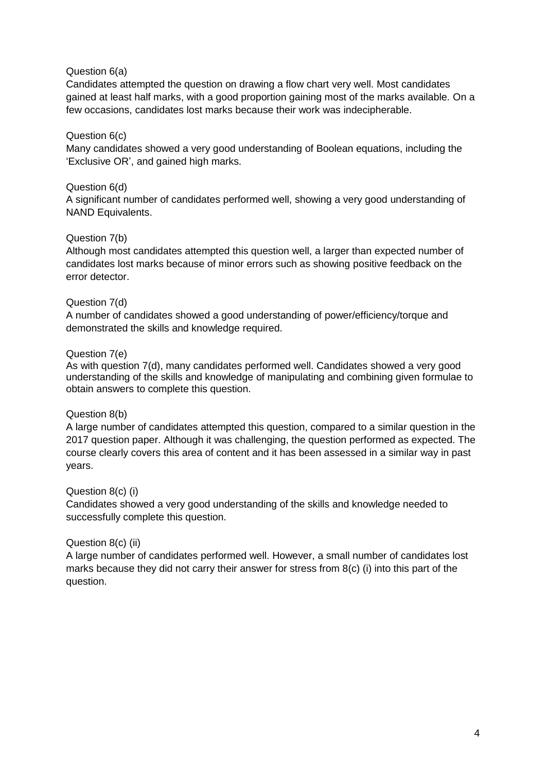#### Question 6(a)

Candidates attempted the question on drawing a flow chart very well. Most candidates gained at least half marks, with a good proportion gaining most of the marks available. On a few occasions, candidates lost marks because their work was indecipherable.

#### Question 6(c)

Many candidates showed a very good understanding of Boolean equations, including the 'Exclusive OR', and gained high marks.

#### Question 6(d)

A significant number of candidates performed well, showing a very good understanding of NAND Equivalents.

#### Question 7(b)

Although most candidates attempted this question well, a larger than expected number of candidates lost marks because of minor errors such as showing positive feedback on the error detector.

#### Question 7(d)

A number of candidates showed a good understanding of power/efficiency/torque and demonstrated the skills and knowledge required.

#### Question 7(e)

As with question 7(d), many candidates performed well. Candidates showed a very good understanding of the skills and knowledge of manipulating and combining given formulae to obtain answers to complete this question.

#### Question 8(b)

A large number of candidates attempted this question, compared to a similar question in the 2017 question paper. Although it was challenging, the question performed as expected. The course clearly covers this area of content and it has been assessed in a similar way in past years.

#### Question 8(c) (i)

Candidates showed a very good understanding of the skills and knowledge needed to successfully complete this question.

#### Question 8(c) (ii)

A large number of candidates performed well. However, a small number of candidates lost marks because they did not carry their answer for stress from 8(c) (i) into this part of the question.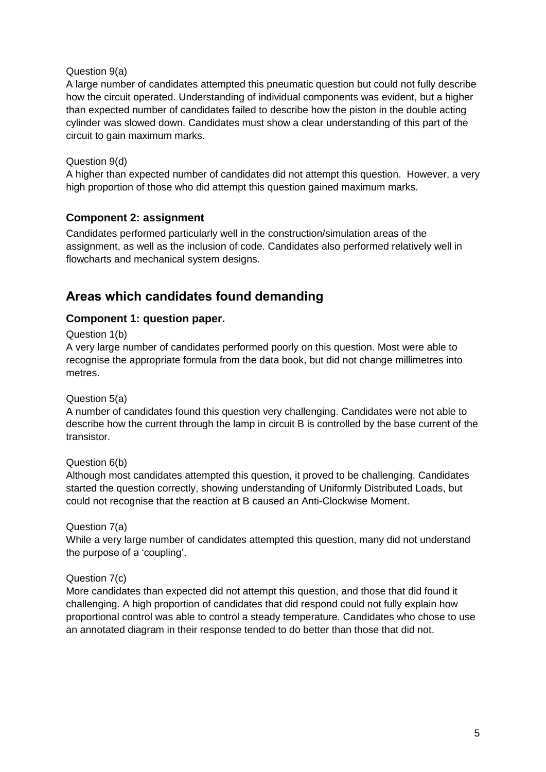#### Question 9(a)

A large number of candidates attempted this pneumatic question but could not fully describe how the circuit operated. Understanding of individual components was evident, but a higher than expected number of candidates failed to describe how the piston in the double acting cylinder was slowed down. Candidates must show a clear understanding of this part of the circuit to gain maximum marks.

#### Question 9(d)

A higher than expected number of candidates did not attempt this question. However, a very high proportion of those who did attempt this question gained maximum marks.

#### **Component 2: assignment**

Candidates performed particularly well in the construction/simulation areas of the assignment, as well as the inclusion of code. Candidates also performed relatively well in flowcharts and mechanical system designs.

## **Areas which candidates found demanding**

#### **Component 1: question paper.**

#### Question 1(b)

A very large number of candidates performed poorly on this question. Most were able to recognise the appropriate formula from the data book, but did not change millimetres into metres.

#### Question 5(a)

A number of candidates found this question very challenging. Candidates were not able to describe how the current through the lamp in circuit B is controlled by the base current of the transistor.

#### Question 6(b)

Although most candidates attempted this question, it proved to be challenging. Candidates started the question correctly, showing understanding of Uniformly Distributed Loads, but could not recognise that the reaction at B caused an Anti-Clockwise Moment.

#### Question 7(a)

While a very large number of candidates attempted this question, many did not understand the purpose of a 'coupling'.

#### Question 7(c)

More candidates than expected did not attempt this question, and those that did found it challenging. A high proportion of candidates that did respond could not fully explain how proportional control was able to control a steady temperature. Candidates who chose to use an annotated diagram in their response tended to do better than those that did not.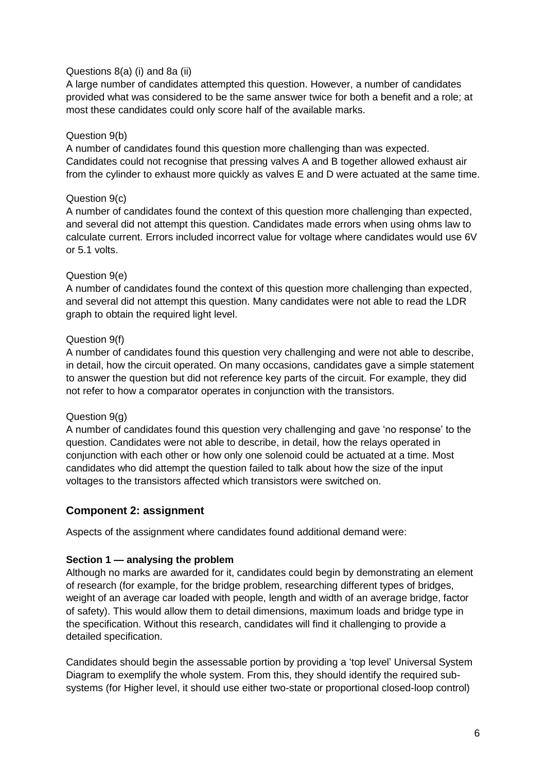#### Questions 8(a) (i) and 8a (ii)

A large number of candidates attempted this question. However, a number of candidates provided what was considered to be the same answer twice for both a benefit and a role; at most these candidates could only score half of the available marks.

#### Question 9(b)

A number of candidates found this question more challenging than was expected. Candidates could not recognise that pressing valves A and B together allowed exhaust air from the cylinder to exhaust more quickly as valves E and D were actuated at the same time.

#### Question 9(c)

A number of candidates found the context of this question more challenging than expected, and several did not attempt this question. Candidates made errors when using ohms law to calculate current. Errors included incorrect value for voltage where candidates would use 6V or 5.1 volts.

#### Question 9(e)

A number of candidates found the context of this question more challenging than expected, and several did not attempt this question. Many candidates were not able to read the LDR graph to obtain the required light level.

#### Question 9(f)

A number of candidates found this question very challenging and were not able to describe, in detail, how the circuit operated. On many occasions, candidates gave a simple statement to answer the question but did not reference key parts of the circuit. For example, they did not refer to how a comparator operates in conjunction with the transistors.

#### Question 9(g)

A number of candidates found this question very challenging and gave 'no response' to the question. Candidates were not able to describe, in detail, how the relays operated in conjunction with each other or how only one solenoid could be actuated at a time. Most candidates who did attempt the question failed to talk about how the size of the input voltages to the transistors affected which transistors were switched on.

#### **Component 2: assignment**

Aspects of the assignment where candidates found additional demand were:

#### **Section 1 — analysing the problem**

Although no marks are awarded for it, candidates could begin by demonstrating an element of research (for example, for the bridge problem, researching different types of bridges, weight of an average car loaded with people, length and width of an average bridge, factor of safety). This would allow them to detail dimensions, maximum loads and bridge type in the specification. Without this research, candidates will find it challenging to provide a detailed specification.

Candidates should begin the assessable portion by providing a 'top level' Universal System Diagram to exemplify the whole system. From this, they should identify the required subsystems (for Higher level, it should use either two-state or proportional closed-loop control)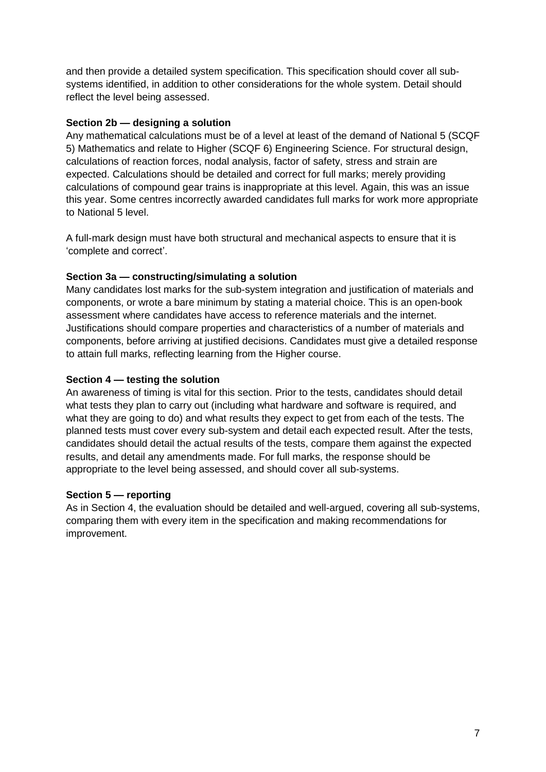and then provide a detailed system specification. This specification should cover all subsystems identified, in addition to other considerations for the whole system. Detail should reflect the level being assessed.

#### **Section 2b — designing a solution**

Any mathematical calculations must be of a level at least of the demand of National 5 (SCQF 5) Mathematics and relate to Higher (SCQF 6) Engineering Science. For structural design, calculations of reaction forces, nodal analysis, factor of safety, stress and strain are expected. Calculations should be detailed and correct for full marks; merely providing calculations of compound gear trains is inappropriate at this level. Again, this was an issue this year. Some centres incorrectly awarded candidates full marks for work more appropriate to National 5 level.

A full-mark design must have both structural and mechanical aspects to ensure that it is 'complete and correct'.

#### **Section 3a — constructing/simulating a solution**

Many candidates lost marks for the sub-system integration and justification of materials and components, or wrote a bare minimum by stating a material choice. This is an open-book assessment where candidates have access to reference materials and the internet. Justifications should compare properties and characteristics of a number of materials and components, before arriving at justified decisions. Candidates must give a detailed response to attain full marks, reflecting learning from the Higher course.

#### **Section 4 — testing the solution**

An awareness of timing is vital for this section. Prior to the tests, candidates should detail what tests they plan to carry out (including what hardware and software is required, and what they are going to do) and what results they expect to get from each of the tests. The planned tests must cover every sub-system and detail each expected result. After the tests, candidates should detail the actual results of the tests, compare them against the expected results, and detail any amendments made. For full marks, the response should be appropriate to the level being assessed, and should cover all sub-systems.

#### **Section 5 — reporting**

As in Section 4, the evaluation should be detailed and well-argued, covering all sub-systems, comparing them with every item in the specification and making recommendations for improvement.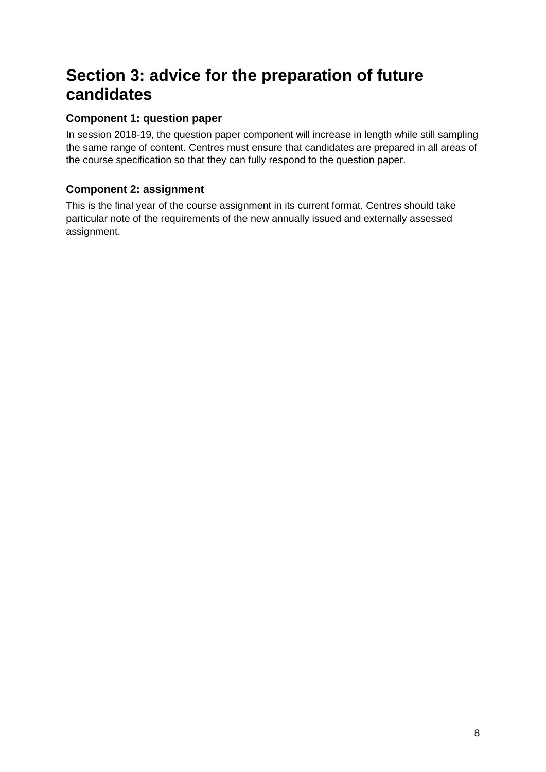## **Section 3: advice for the preparation of future candidates**

### **Component 1: question paper**

In session 2018-19, the question paper component will increase in length while still sampling the same range of content. Centres must ensure that candidates are prepared in all areas of the course specification so that they can fully respond to the question paper.

### **Component 2: assignment**

This is the final year of the course assignment in its current format. Centres should take particular note of the requirements of the new annually issued and externally assessed assignment.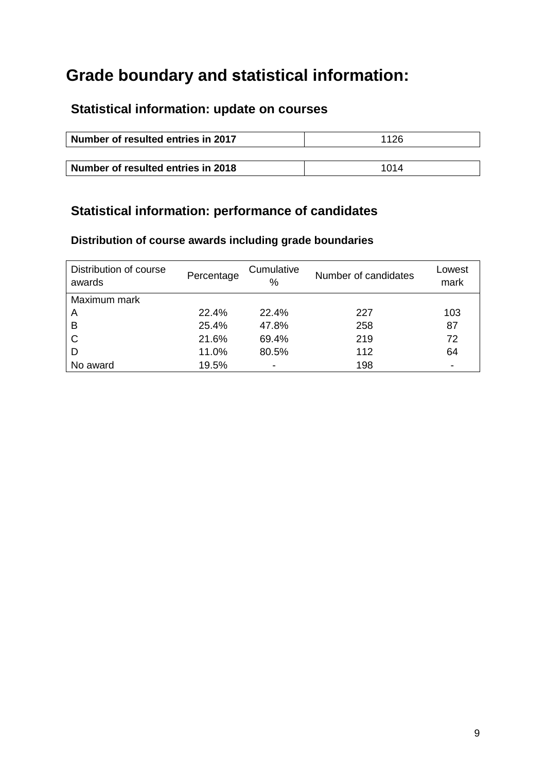## **Grade boundary and statistical information:**

## **Statistical information: update on courses**

| Number of resulted entries in 2017 | 1126 |
|------------------------------------|------|
|                                    |      |
| Number of resulted entries in 2018 | 1014 |

## **Statistical information: performance of candidates**

### **Distribution of course awards including grade boundaries**

| Distribution of course<br>awards | Percentage | Cumulative<br>℅          | Number of candidates | Lowest<br>mark           |
|----------------------------------|------------|--------------------------|----------------------|--------------------------|
| Maximum mark                     |            |                          |                      |                          |
| A                                | 22.4%      | 22.4%                    | 227                  | 103                      |
| B                                | 25.4%      | 47.8%                    | 258                  | 87                       |
| C                                | 21.6%      | 69.4%                    | 219                  | 72                       |
| D                                | 11.0%      | 80.5%                    | 112                  | 64                       |
| No award                         | 19.5%      | $\overline{\phantom{a}}$ | 198                  | $\overline{\phantom{0}}$ |